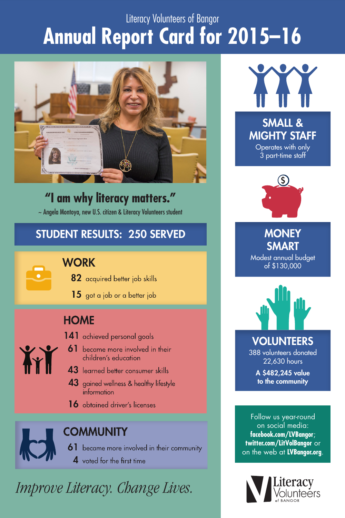### Literacy Volunteers of Bangor **Annual Report Card for 2015–16**



**"I am why literacy matters."** ~ Angela Montoya, new U.S. citizen & Literacy Volunteers student

#### STUDENT RESULTS: 250 SERVED

#### **WORK**

- 82 acquired better job skills
- $15$  got a job or a better job

#### **HOME**

- 141 achieved personal goals **AY** 
	- 61 became more involved in their children's education
	- 43 learned better consumer skills
	- 43 gained wellness & healthy lifestyle information
	- 16 obtained driver's licenses



#### **COMMUNITY**

- 61 became more involved in their community
	- 4 voted for the first time

*Improve Literacy. Change Lives.*



MIGHTY STAFF Operates with only 3 part-time staff

**\$**

**MONEY SMART** Modest annual budget of \$130,000



VOLUNTEERS

388 volunteers donated 22,630 hours

> A \$482,245 value to the community

Follow us year-round on social media: **facebook.com/LVBangor**; **twitter.com/LitVolBangor** or on the web at **LVBangor.org**.